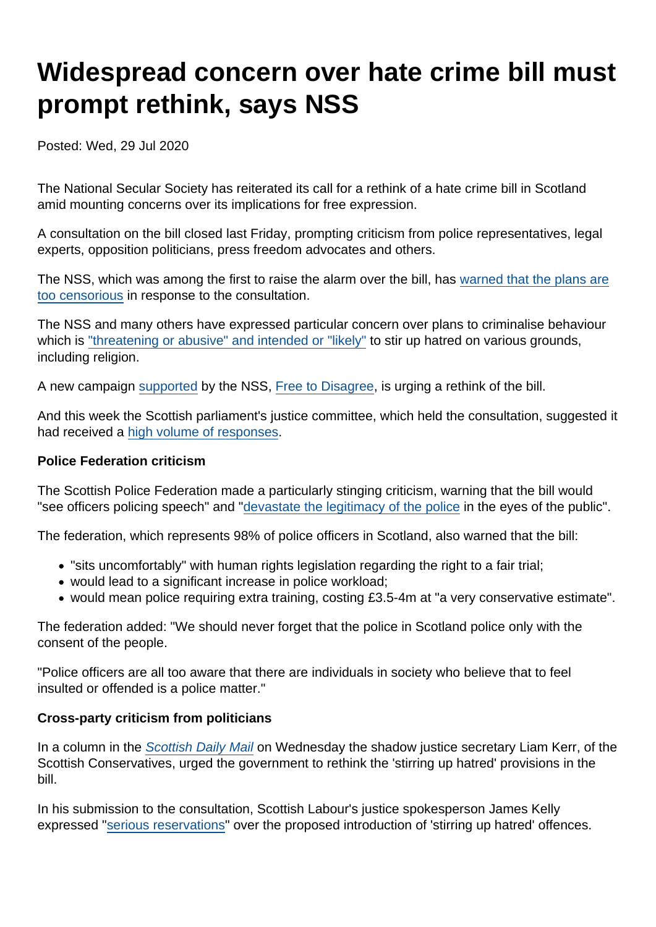# Widespread concern over hate crime bill must prompt rethink, says NSS

Posted: Wed, 29 Jul 2020

The National Secular Society has reiterated its call for a rethink of a hate crime bill in Scotland amid mounting concerns over its implications for free expression.

A consultation on the bill closed last Friday, prompting criticism from police representatives, legal experts, opposition politicians, press freedom advocates and others.

The NSS, which was among the first to raise the alarm over the bill, has [warned that the plans are](https://www.secularism.org.uk/news/2020/07/dont-erode-free-speech-nss-warns-scottish-parliament) [too censorious](https://www.secularism.org.uk/news/2020/07/dont-erode-free-speech-nss-warns-scottish-parliament) in response to the consultation.

The NSS and many others have expressed particular concern over plans to criminalise behaviour which is ["threatening or abusive" and intended or "likely"](https://www.secularism.org.uk/opinion/2020/05/scotlands-new-hate-speech-law-will-be-too-censorious) to stir up hatred on various grounds, including religion.

A new campaign [supported](https://www.secularism.org.uk/news/2020/07/free-to-disagree-campaign-urges-rethink-of-scottish-hate-crime-bill) by the NSS, [Free to Disagree](https://freetodisagree.scot/scot-govs-hate-crime-proposals-would-have-a-deadening-effect-on-intellectual-life/), is urging a rethink of the bill.

And this week the Scottish parliament's justice committee, which held the consultation, suggested it had received a [high volume of responses.](https://twitter.com/SP_Justice/status/1286572226578440192)

Police Federation criticism

The Scottish Police Federation made a particularly stinging criticism, warning that the bill would "see officers policing speech" and "[devastate the legitimacy of the police](https://www.thenational.scot/news/18611783.hate-crime-bill-scottish-police-federation-launches-fierce-attack/) in the eyes of the public".

The federation, which represents 98% of police officers in Scotland, also warned that the bill:

- "sits uncomfortably" with human rights legislation regarding the right to a fair trial;
- would lead to a significant increase in police workload;
- would mean police requiring extra training, costing £3.5-4m at "a very conservative estimate".

The federation added: "We should never forget that the police in Scotland police only with the consent of the people.

"Police officers are all too aware that there are individuals in society who believe that to feel insulted or offended is a police matter."

Cross-party criticism from politicians

In a column in the [Scottish Daily Mail](https://www.pressreader.com/uk/scottish-daily-mail/20200729/281741271748868) on Wednesday the shadow justice secretary Liam Kerr, of the Scottish Conservatives, urged the government to rethink the 'stirring up hatred' provisions in the bill.

In his submission to the consultation, Scottish Labour's justice spokesperson James Kelly expressed "[serious reservations](https://www.scottishlegal.com/article/scottish-labour-expresses-serious-reservations-over-hate-crime-bill)" over the proposed introduction of 'stirring up hatred' offences.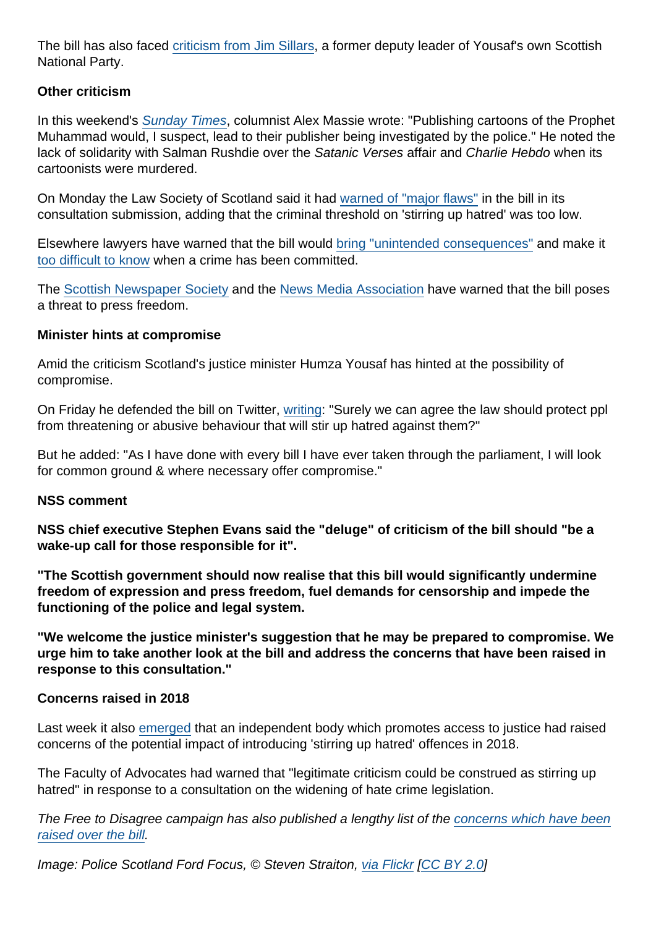The bill has also faced [criticism from Jim Sillars](https://www.spectator.co.uk/article/beware-scotland-s-hate-crime-bill), a former deputy leader of Yousaf's own Scottish National Party.

Other criticism

In this weekend's [Sunday Times,](https://www.thetimes.co.uk/article/alex-massie-devils-in-the-detail-with-scottish-hate-crime-bill-233j5dtng) columnist Alex Massie wrote: "Publishing cartoons of the Prophet Muhammad would, I suspect, lead to their publisher being investigated by the police." He noted the lack of solidarity with Salman Rushdie over the Satanic Verses affair and Charlie Hebdo when its cartoonists were murdered.

On Monday the Law Society of Scotland said it had [warned of "major flaws"](https://www.lawscot.org.uk/news-and-events/law-society-news/lack-of-clarity-in-hate-crime-bill-could-threaten-freedom-of-expression/) in the bill in its consultation submission, adding that the criminal threshold on 'stirring up hatred' was too low.

Elsewhere lawyers have warned that the bill would [bring "unintended consequences"](https://www.scottishlegal.com/article/fred-mackintosh-qc-practical-problems-with-the-hate-crime-and-public-order-bill) and make it [too difficult to know](https://www.dailymail.co.uk/news/article-8556175/New-vague-Scots-hate-crime-law-stifle-free-speech.html) when a crime has been committed.

The [Scottish Newspaper Society](https://www.telegraph.co.uk/news/2020/07/24/snps-hate-crime-bill-poses-grave-threat-freedom-press-risks/) and the [News Media Association](http://www.newsmediauk.org/Latest/nma-scottish-hate-crime-bill-poses-risk-to-freedom-of-expression) have warned that the bill poses a threat to press freedom.

Minister hints at compromise

Amid the criticism Scotland's justice minister Humza Yousaf has hinted at the possibility of compromise.

On Friday he defended the bill on Twitter, [writing](https://twitter.com/HumzaYousaf/status/1286690052479877123): "Surely we can agree the law should protect ppl from threatening or abusive behaviour that will stir up hatred against them?"

But he added: "As I have done with every bill I have ever taken through the parliament, I will look for common ground & where necessary offer compromise."

#### NSS comment

NSS chief executive Stephen Evans said the "deluge" of criticism of the bill should "be a wake-up call for those responsible for it".

"The Scottish government should now realise that this bill would significantly undermine freedom of expression and press freedom, fuel demands for censorship and impede the functioning of the police and legal system.

"We welcome the justice minister's suggestion that he may be prepared to compromise. We urge him to take another look at the bill and address the concerns that have been raised in response to this consultation."

Concerns raised in 2018

Last week it also [emerged](https://www.pressreader.com/uk/scottish-daily-mail/20200724/281487868669318) that an independent body which promotes access to justice had raised concerns of the potential impact of introducing 'stirring up hatred' offences in 2018.

The Faculty of Advocates had warned that "legitimate criticism could be construed as stirring up hatred" in response to a consultation on the widening of hate crime legislation.

The Free to Disagree campaign has also published a lengthy list of the [concerns which have been](https://freetodisagree.scot/catalogue-of-concerns/) [raised over the bill](https://freetodisagree.scot/catalogue-of-concerns/).

Image: Police Scotland Ford Focus, © Steven Straiton, [via Flickr](https://www.flickr.com/photos/st33vo/9452328447) [\[CC BY 2.0](https://creativecommons.org/licenses/by/2.0/)]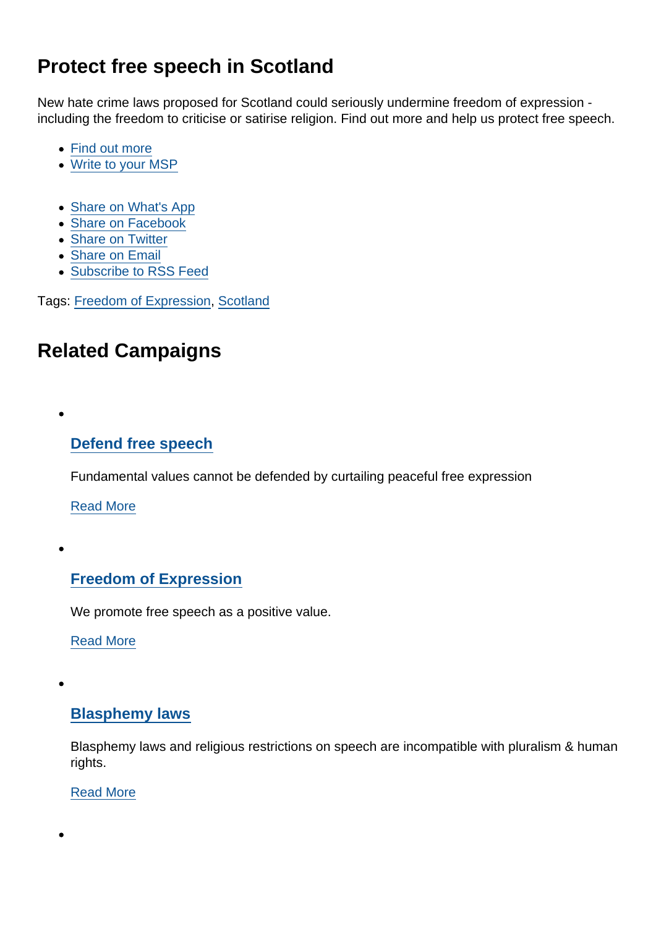# Protect free speech in Scotland

New hate crime laws proposed for Scotland could seriously undermine freedom of expression including the freedom to criticise or satirise religion. Find out more and help us protect free speech.

- [Find out more](https://www.secularism.org.uk/free-expression/scottish-hate-crime-bill.html)
- [Write to your MSP](https://www.secularism.org.uk/free-expression/write-to-your-msp.html)
- [Share on What's App](whatsapp://send?text=http://www.secularism.org.uk/news/2020/07/widespread-concern-over-hate-crime-bill-must-prompt-rethink-says-nss?format=pdf)
- [Share on Facebook](https://www.facebook.com/sharer/sharer.php?u=http://www.secularism.org.uk/news/2020/07/widespread-concern-over-hate-crime-bill-must-prompt-rethink-says-nss?format=pdf&t=Widespread+concern+over+hate+crime+bill+must+prompt+rethink,+says+NSS)
- [Share on Twitter](https://twitter.com/intent/tweet?url=http://www.secularism.org.uk/news/2020/07/widespread-concern-over-hate-crime-bill-must-prompt-rethink-says-nss?format=pdf&text=Widespread+concern+over+hate+crime+bill+must+prompt+rethink,+says+NSS&via=NatSecSoc)
- [Share on Email](https://www.secularism.org.uk/share.html?url=http://www.secularism.org.uk/news/2020/07/widespread-concern-over-hate-crime-bill-must-prompt-rethink-says-nss?format=pdf&title=Widespread+concern+over+hate+crime+bill+must+prompt+rethink,+says+NSS)
- [Subscribe to RSS Feed](/mnt/web-data/www/cp-nss/feeds/rss/news)

Tags: [Freedom of Expression](https://www.secularism.org.uk/news/tags/Freedom+of+Expression), [Scotland](https://www.secularism.org.uk/news/tags/Scotland)

## Related Campaigns

[Defend free speech](https://www.secularism.org.uk/defend-free-speech/)

Fundamental values cannot be defended by curtailing peaceful free expression

[Read More](https://www.secularism.org.uk/defend-free-speech/)

### [Freedom of Expression](https://www.secularism.org.uk/free-expression/)

We promote free speech as a positive value.

[Read More](https://www.secularism.org.uk/free-expression/)

#### [Blasphemy laws](https://www.secularism.org.uk/blasphemy/)

Blasphemy laws and religious restrictions on speech are incompatible with pluralism & human rights.

[Read More](https://www.secularism.org.uk/blasphemy/)